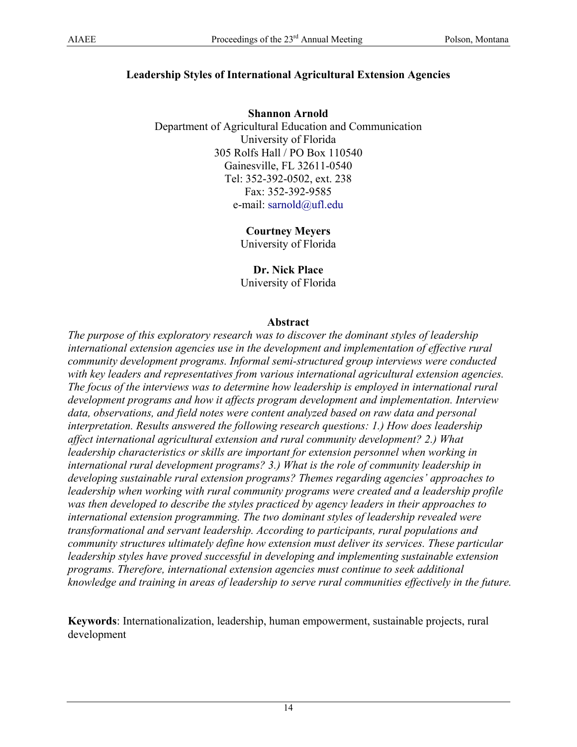## **Leadership Styles of International Agricultural Extension Agencies**

**Shannon Arnold**  Department of Agricultural Education and Communication University of Florida 305 Rolfs Hall / PO Box 110540 Gainesville, FL 32611-0540 Tel: 352-392-0502, ext. 238 Fax: 352-392-9585 e-mail: [sarnold@ufl.edu](mailto:sarnold@ufl.edu)

> **Courtney Meyers**  University of Florida

> **Dr. Nick Place**  University of Florida

#### **Abstract**

*The purpose of this exploratory research was to discover the dominant styles of leadership international extension agencies use in the development and implementation of effective rural community development programs. Informal semi-structured group interviews were conducted with key leaders and representatives from various international agricultural extension agencies. The focus of the interviews was to determine how leadership is employed in international rural development programs and how it affects program development and implementation. Interview data, observations, and field notes were content analyzed based on raw data and personal interpretation. Results answered the following research questions: 1.) How does leadership affect international agricultural extension and rural community development? 2.) What leadership characteristics or skills are important for extension personnel when working in international rural development programs? 3.) What is the role of community leadership in developing sustainable rural extension programs? Themes regarding agencies' approaches to leadership when working with rural community programs were created and a leadership profile was then developed to describe the styles practiced by agency leaders in their approaches to international extension programming. The two dominant styles of leadership revealed were transformational and servant leadership. According to participants, rural populations and community structures ultimately define how extension must deliver its services. These particular leadership styles have proved successful in developing and implementing sustainable extension programs. Therefore, international extension agencies must continue to seek additional knowledge and training in areas of leadership to serve rural communities effectively in the future.* 

**Keywords**: Internationalization, leadership, human empowerment, sustainable projects, rural development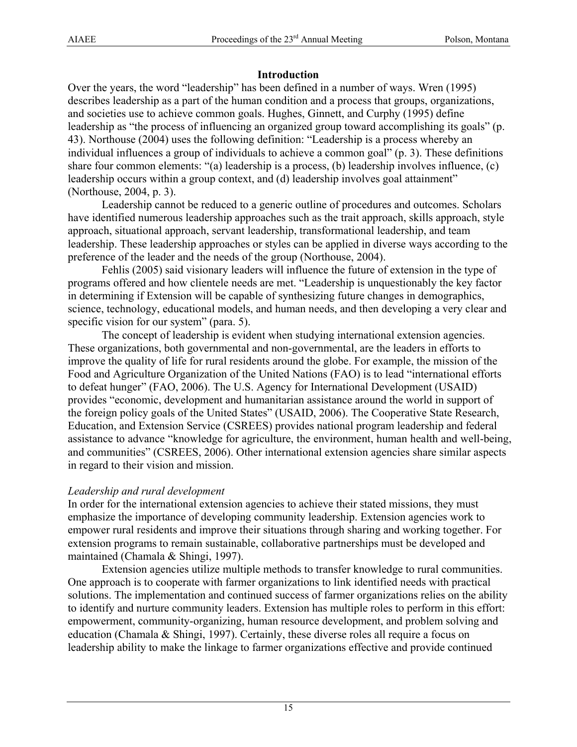## **Introduction**

Over the years, the word "leadership" has been defined in a number of ways. Wren (1995) describes leadership as a part of the human condition and a process that groups, organizations, and societies use to achieve common goals. Hughes, Ginnett, and Curphy (1995) define leadership as "the process of influencing an organized group toward accomplishing its goals" (p. 43). Northouse (2004) uses the following definition: "Leadership is a process whereby an individual influences a group of individuals to achieve a common goal" (p. 3). These definitions share four common elements: "(a) leadership is a process, (b) leadership involves influence, (c) leadership occurs within a group context, and (d) leadership involves goal attainment" (Northouse, 2004, p. 3).

Leadership cannot be reduced to a generic outline of procedures and outcomes. Scholars have identified numerous leadership approaches such as the trait approach, skills approach, style approach, situational approach, servant leadership, transformational leadership, and team leadership. These leadership approaches or styles can be applied in diverse ways according to the preference of the leader and the needs of the group (Northouse, 2004).

Fehlis (2005) said visionary leaders will influence the future of extension in the type of programs offered and how clientele needs are met. "Leadership is unquestionably the key factor in determining if Extension will be capable of synthesizing future changes in demographics, science, technology, educational models, and human needs, and then developing a very clear and specific vision for our system" (para. 5).

The concept of leadership is evident when studying international extension agencies. These organizations, both governmental and non-governmental, are the leaders in efforts to improve the quality of life for rural residents around the globe. For example, the mission of the Food and Agriculture Organization of the United Nations (FAO) is to lead "international efforts to defeat hunger" (FAO, 2006). The U.S. Agency for International Development (USAID) provides "economic, development and humanitarian assistance around the world in support of the foreign policy goals of the United States" (USAID, 2006). The Cooperative State Research, Education, and Extension Service (CSREES) provides national program leadership and federal assistance to advance "knowledge for agriculture, the environment, human health and well-being, and communities" (CSREES, 2006). Other international extension agencies share similar aspects in regard to their vision and mission.

# *Leadership and rural development*

In order for the international extension agencies to achieve their stated missions, they must emphasize the importance of developing community leadership. Extension agencies work to empower rural residents and improve their situations through sharing and working together. For extension programs to remain sustainable, collaborative partnerships must be developed and maintained (Chamala & Shingi, 1997).

Extension agencies utilize multiple methods to transfer knowledge to rural communities. One approach is to cooperate with farmer organizations to link identified needs with practical solutions. The implementation and continued success of farmer organizations relies on the ability to identify and nurture community leaders. Extension has multiple roles to perform in this effort: empowerment, community-organizing, human resource development, and problem solving and education (Chamala & Shingi, 1997). Certainly, these diverse roles all require a focus on leadership ability to make the linkage to farmer organizations effective and provide continued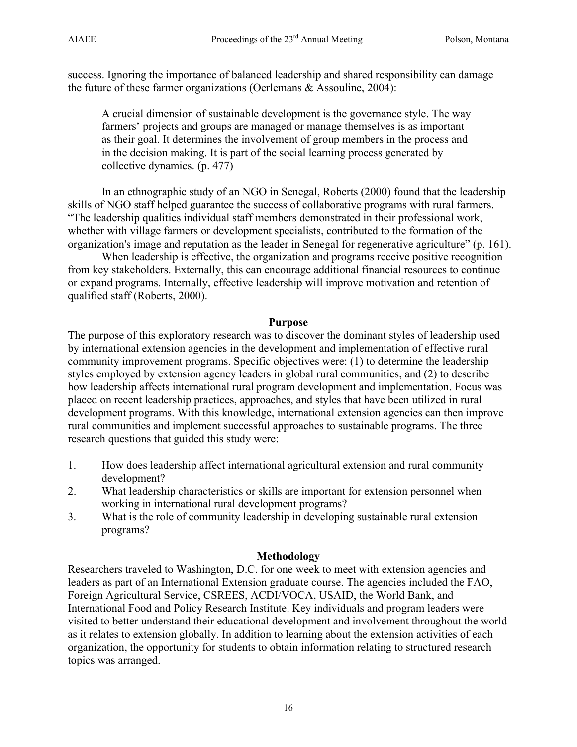success. Ignoring the importance of balanced leadership and shared responsibility can damage the future of these farmer organizations (Oerlemans & Assouline, 2004):

A crucial dimension of sustainable development is the governance style. The way farmers' projects and groups are managed or manage themselves is as important as their goal. It determines the involvement of group members in the process and in the decision making. It is part of the social learning process generated by collective dynamics. (p. 477)

In an ethnographic study of an NGO in Senegal, Roberts (2000) found that the leadership skills of NGO staff helped guarantee the success of collaborative programs with rural farmers. "The leadership qualities individual staff members demonstrated in their professional work, whether with village farmers or development specialists, contributed to the formation of the organization's image and reputation as the leader in Senegal for regenerative agriculture" (p. 161).

 When leadership is effective, the organization and programs receive positive recognition from key stakeholders. Externally, this can encourage additional financial resources to continue or expand programs. Internally, effective leadership will improve motivation and retention of qualified staff (Roberts, 2000).

#### **Purpose**

The purpose of this exploratory research was to discover the dominant styles of leadership used by international extension agencies in the development and implementation of effective rural community improvement programs. Specific objectives were: (1) to determine the leadership styles employed by extension agency leaders in global rural communities, and (2) to describe how leadership affects international rural program development and implementation. Focus was placed on recent leadership practices, approaches, and styles that have been utilized in rural development programs. With this knowledge, international extension agencies can then improve rural communities and implement successful approaches to sustainable programs. The three research questions that guided this study were:

- 1. How does leadership affect international agricultural extension and rural community development?
- 2. What leadership characteristics or skills are important for extension personnel when working in international rural development programs?
- 3. What is the role of community leadership in developing sustainable rural extension programs?

### **Methodology**

Researchers traveled to Washington, D.C. for one week to meet with extension agencies and leaders as part of an International Extension graduate course. The agencies included the FAO, Foreign Agricultural Service, CSREES, ACDI/VOCA, USAID, the World Bank, and International Food and Policy Research Institute. Key individuals and program leaders were visited to better understand their educational development and involvement throughout the world as it relates to extension globally. In addition to learning about the extension activities of each organization, the opportunity for students to obtain information relating to structured research topics was arranged.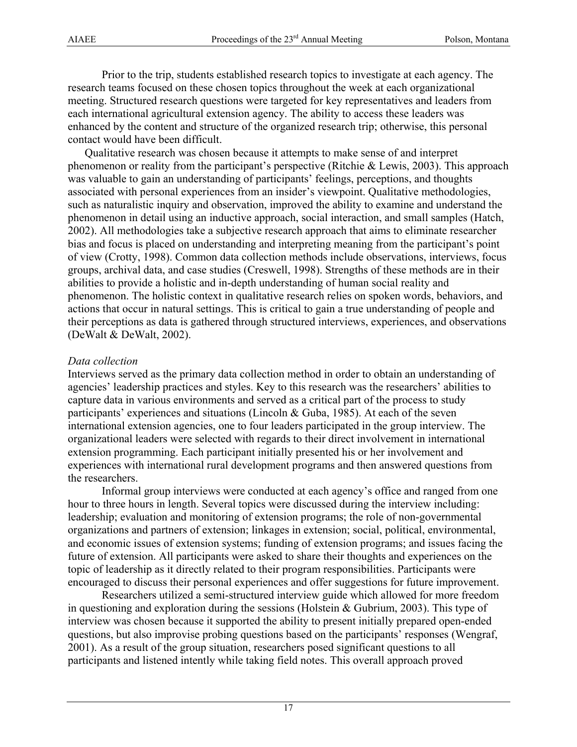Prior to the trip, students established research topics to investigate at each agency. The research teams focused on these chosen topics throughout the week at each organizational meeting. Structured research questions were targeted for key representatives and leaders from each international agricultural extension agency. The ability to access these leaders was enhanced by the content and structure of the organized research trip; otherwise, this personal contact would have been difficult.

 Qualitative research was chosen because it attempts to make sense of and interpret phenomenon or reality from the participant's perspective (Ritchie & Lewis, 2003). This approach was valuable to gain an understanding of participants' feelings, perceptions, and thoughts associated with personal experiences from an insider's viewpoint. Qualitative methodologies, such as naturalistic inquiry and observation, improved the ability to examine and understand the phenomenon in detail using an inductive approach, social interaction, and small samples (Hatch, 2002). All methodologies take a subjective research approach that aims to eliminate researcher bias and focus is placed on understanding and interpreting meaning from the participant's point of view (Crotty, 1998). Common data collection methods include observations, interviews, focus groups, archival data, and case studies (Creswell, 1998). Strengths of these methods are in their abilities to provide a holistic and in-depth understanding of human social reality and phenomenon. The holistic context in qualitative research relies on spoken words, behaviors, and actions that occur in natural settings. This is critical to gain a true understanding of people and their perceptions as data is gathered through structured interviews, experiences, and observations (DeWalt & DeWalt, 2002).

### *Data collection*

Interviews served as the primary data collection method in order to obtain an understanding of agencies' leadership practices and styles. Key to this research was the researchers' abilities to capture data in various environments and served as a critical part of the process to study participants' experiences and situations (Lincoln & Guba, 1985). At each of the seven international extension agencies, one to four leaders participated in the group interview. The organizational leaders were selected with regards to their direct involvement in international extension programming. Each participant initially presented his or her involvement and experiences with international rural development programs and then answered questions from the researchers.

Informal group interviews were conducted at each agency's office and ranged from one hour to three hours in length. Several topics were discussed during the interview including: leadership; evaluation and monitoring of extension programs; the role of non-governmental organizations and partners of extension; linkages in extension; social, political, environmental, and economic issues of extension systems; funding of extension programs; and issues facing the future of extension. All participants were asked to share their thoughts and experiences on the topic of leadership as it directly related to their program responsibilities. Participants were encouraged to discuss their personal experiences and offer suggestions for future improvement.

Researchers utilized a semi-structured interview guide which allowed for more freedom in questioning and exploration during the sessions (Holstein & Gubrium, 2003). This type of interview was chosen because it supported the ability to present initially prepared open-ended questions, but also improvise probing questions based on the participants' responses (Wengraf, 2001). As a result of the group situation, researchers posed significant questions to all participants and listened intently while taking field notes. This overall approach proved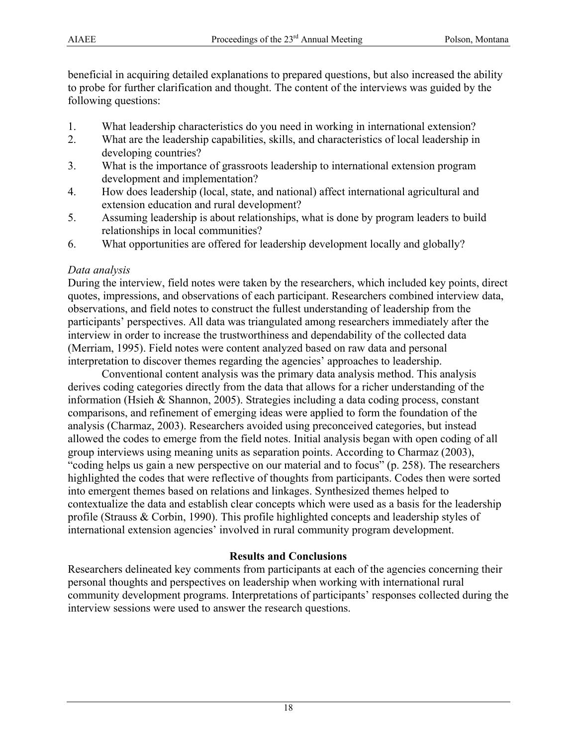beneficial in acquiring detailed explanations to prepared questions, but also increased the ability to probe for further clarification and thought. The content of the interviews was guided by the following questions:

- 1. What leadership characteristics do you need in working in international extension?
- 2. What are the leadership capabilities, skills, and characteristics of local leadership in developing countries?
- 3. What is the importance of grassroots leadership to international extension program development and implementation?
- 4. How does leadership (local, state, and national) affect international agricultural and extension education and rural development?
- 5. Assuming leadership is about relationships, what is done by program leaders to build relationships in local communities?
- 6. What opportunities are offered for leadership development locally and globally?

#### *Data analysis*

During the interview, field notes were taken by the researchers, which included key points, direct quotes, impressions, and observations of each participant. Researchers combined interview data, observations, and field notes to construct the fullest understanding of leadership from the participants' perspectives. All data was triangulated among researchers immediately after the interview in order to increase the trustworthiness and dependability of the collected data (Merriam, 1995). Field notes were content analyzed based on raw data and personal interpretation to discover themes regarding the agencies' approaches to leadership.

Conventional content analysis was the primary data analysis method. This analysis derives coding categories directly from the data that allows for a richer understanding of the information (Hsieh & Shannon, 2005). Strategies including a data coding process, constant comparisons, and refinement of emerging ideas were applied to form the foundation of the analysis (Charmaz, 2003). Researchers avoided using preconceived categories, but instead allowed the codes to emerge from the field notes. Initial analysis began with open coding of all group interviews using meaning units as separation points. According to Charmaz (2003), "coding helps us gain a new perspective on our material and to focus" (p. 258). The researchers highlighted the codes that were reflective of thoughts from participants. Codes then were sorted into emergent themes based on relations and linkages. Synthesized themes helped to contextualize the data and establish clear concepts which were used as a basis for the leadership profile (Strauss & Corbin, 1990). This profile highlighted concepts and leadership styles of international extension agencies' involved in rural community program development.

### **Results and Conclusions**

Researchers delineated key comments from participants at each of the agencies concerning their personal thoughts and perspectives on leadership when working with international rural community development programs. Interpretations of participants' responses collected during the interview sessions were used to answer the research questions.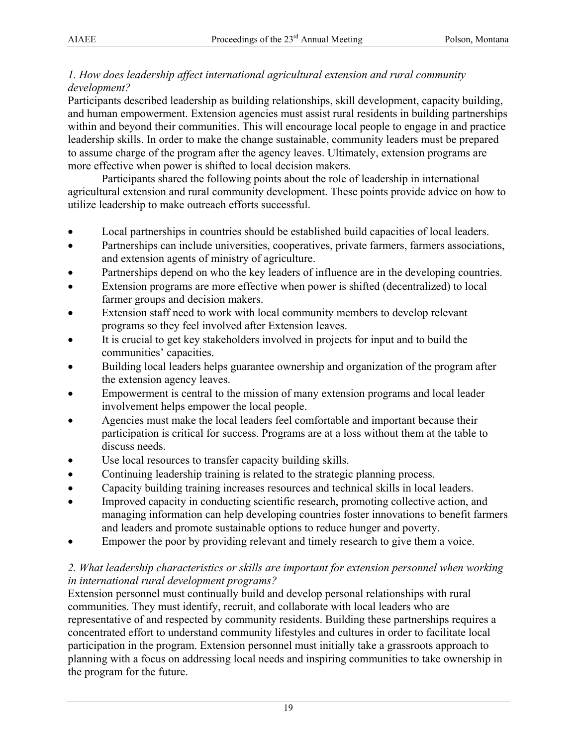## *1. How does leadership affect international agricultural extension and rural community development?*

Participants described leadership as building relationships, skill development, capacity building, and human empowerment. Extension agencies must assist rural residents in building partnerships within and beyond their communities. This will encourage local people to engage in and practice leadership skills. In order to make the change sustainable, community leaders must be prepared to assume charge of the program after the agency leaves. Ultimately, extension programs are more effective when power is shifted to local decision makers.

Participants shared the following points about the role of leadership in international agricultural extension and rural community development. These points provide advice on how to utilize leadership to make outreach efforts successful.

- Local partnerships in countries should be established build capacities of local leaders.
- Partnerships can include universities, cooperatives, private farmers, farmers associations, and extension agents of ministry of agriculture.
- Partnerships depend on who the key leaders of influence are in the developing countries.
- Extension programs are more effective when power is shifted (decentralized) to local farmer groups and decision makers.
- Extension staff need to work with local community members to develop relevant programs so they feel involved after Extension leaves.
- It is crucial to get key stakeholders involved in projects for input and to build the communities' capacities.
- Building local leaders helps guarantee ownership and organization of the program after the extension agency leaves.
- Empowerment is central to the mission of many extension programs and local leader involvement helps empower the local people.
- Agencies must make the local leaders feel comfortable and important because their participation is critical for success. Programs are at a loss without them at the table to discuss needs.
- Use local resources to transfer capacity building skills.
- Continuing leadership training is related to the strategic planning process.
- Capacity building training increases resources and technical skills in local leaders.
- Improved capacity in conducting scientific research, promoting collective action, and managing information can help developing countries foster innovations to benefit farmers and leaders and promote sustainable options to reduce hunger and poverty.
- Empower the poor by providing relevant and timely research to give them a voice.

## *2. What leadership characteristics or skills are important for extension personnel when working in international rural development programs?*

Extension personnel must continually build and develop personal relationships with rural communities. They must identify, recruit, and collaborate with local leaders who are representative of and respected by community residents. Building these partnerships requires a concentrated effort to understand community lifestyles and cultures in order to facilitate local participation in the program. Extension personnel must initially take a grassroots approach to planning with a focus on addressing local needs and inspiring communities to take ownership in the program for the future.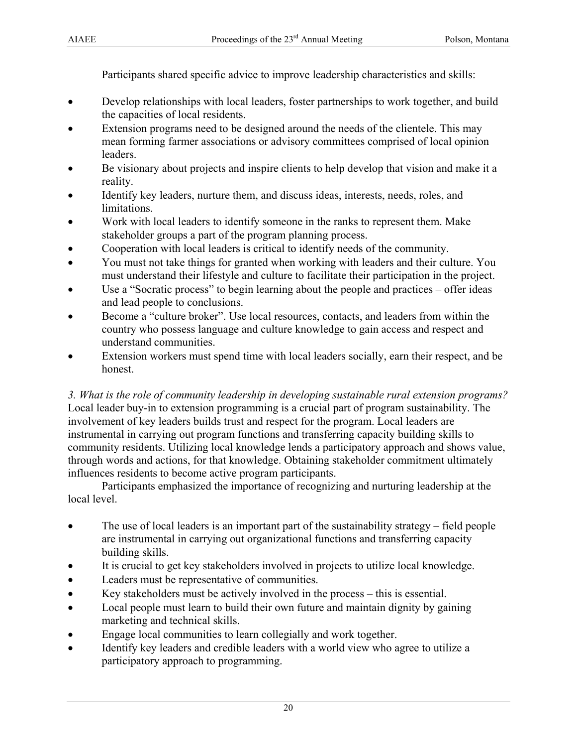Participants shared specific advice to improve leadership characteristics and skills:

- Develop relationships with local leaders, foster partnerships to work together, and build the capacities of local residents.
- Extension programs need to be designed around the needs of the clientele. This may mean forming farmer associations or advisory committees comprised of local opinion leaders.
- Be visionary about projects and inspire clients to help develop that vision and make it a reality.
- Identify key leaders, nurture them, and discuss ideas, interests, needs, roles, and limitations.
- Work with local leaders to identify someone in the ranks to represent them. Make stakeholder groups a part of the program planning process.
- Cooperation with local leaders is critical to identify needs of the community.
- You must not take things for granted when working with leaders and their culture. You must understand their lifestyle and culture to facilitate their participation in the project.
- Use a "Socratic process" to begin learning about the people and practices offer ideas and lead people to conclusions.
- Become a "culture broker". Use local resources, contacts, and leaders from within the country who possess language and culture knowledge to gain access and respect and understand communities.
- Extension workers must spend time with local leaders socially, earn their respect, and be honest.

*3. What is the role of community leadership in developing sustainable rural extension programs?*  Local leader buy-in to extension programming is a crucial part of program sustainability. The involvement of key leaders builds trust and respect for the program. Local leaders are instrumental in carrying out program functions and transferring capacity building skills to community residents. Utilizing local knowledge lends a participatory approach and shows value, through words and actions, for that knowledge. Obtaining stakeholder commitment ultimately influences residents to become active program participants.

Participants emphasized the importance of recognizing and nurturing leadership at the local level.

- The use of local leaders is an important part of the sustainability strategy field people are instrumental in carrying out organizational functions and transferring capacity building skills.
- It is crucial to get key stakeholders involved in projects to utilize local knowledge.
- Leaders must be representative of communities.
- Key stakeholders must be actively involved in the process this is essential.
- Local people must learn to build their own future and maintain dignity by gaining marketing and technical skills.
- Engage local communities to learn collegially and work together.
- Identify key leaders and credible leaders with a world view who agree to utilize a participatory approach to programming.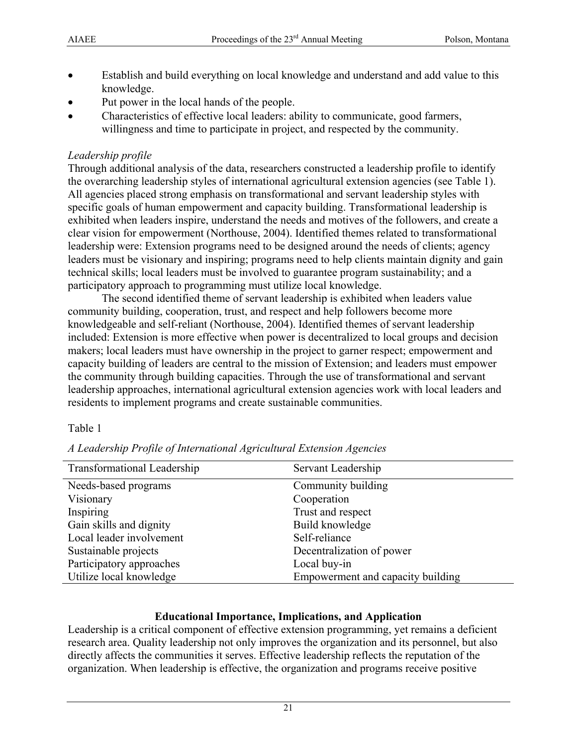- Establish and build everything on local knowledge and understand and add value to this knowledge.
- Put power in the local hands of the people.
- Characteristics of effective local leaders: ability to communicate, good farmers, willingness and time to participate in project, and respected by the community.

# *Leadership profile*

Through additional analysis of the data, researchers constructed a leadership profile to identify the overarching leadership styles of international agricultural extension agencies (see Table 1). All agencies placed strong emphasis on transformational and servant leadership styles with specific goals of human empowerment and capacity building. Transformational leadership is exhibited when leaders inspire, understand the needs and motives of the followers, and create a clear vision for empowerment (Northouse, 2004). Identified themes related to transformational leadership were: Extension programs need to be designed around the needs of clients; agency leaders must be visionary and inspiring; programs need to help clients maintain dignity and gain technical skills; local leaders must be involved to guarantee program sustainability; and a participatory approach to programming must utilize local knowledge.

The second identified theme of servant leadership is exhibited when leaders value community building, cooperation, trust, and respect and help followers become more knowledgeable and self-reliant (Northouse, 2004). Identified themes of servant leadership included: Extension is more effective when power is decentralized to local groups and decision makers; local leaders must have ownership in the project to garner respect; empowerment and capacity building of leaders are central to the mission of Extension; and leaders must empower the community through building capacities. Through the use of transformational and servant leadership approaches, international agricultural extension agencies work with local leaders and residents to implement programs and create sustainable communities.

### Table 1

| Transformational Leadership | Servant Leadership                |
|-----------------------------|-----------------------------------|
| Needs-based programs        | Community building                |
| Visionary                   | Cooperation                       |
| Inspiring                   | Trust and respect                 |
| Gain skills and dignity     | Build knowledge                   |
| Local leader involvement    | Self-reliance                     |
| Sustainable projects        | Decentralization of power         |
| Participatory approaches    | Local buy-in                      |
| Utilize local knowledge     | Empowerment and capacity building |

*A Leadership Profile of International Agricultural Extension Agencies* 

### **Educational Importance, Implications, and Application**

Leadership is a critical component of effective extension programming, yet remains a deficient research area. Quality leadership not only improves the organization and its personnel, but also directly affects the communities it serves. Effective leadership reflects the reputation of the organization. When leadership is effective, the organization and programs receive positive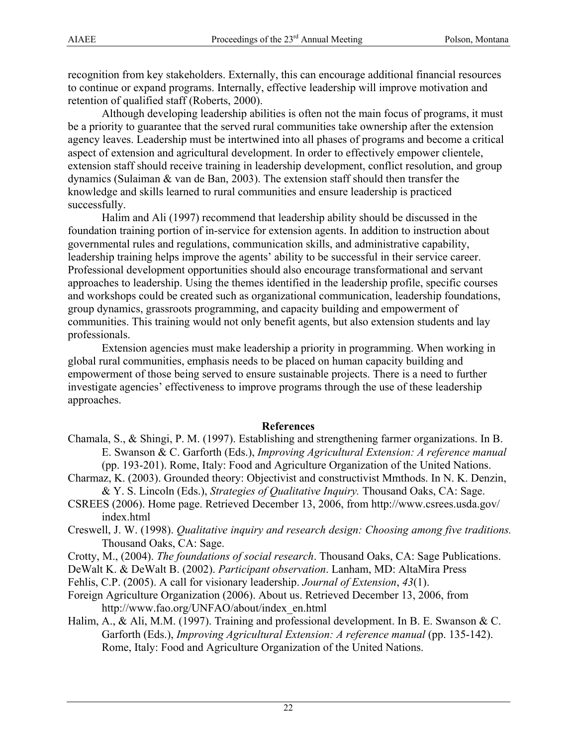recognition from key stakeholders. Externally, this can encourage additional financial resources to continue or expand programs. Internally, effective leadership will improve motivation and retention of qualified staff (Roberts, 2000).

Although developing leadership abilities is often not the main focus of programs, it must be a priority to guarantee that the served rural communities take ownership after the extension agency leaves. Leadership must be intertwined into all phases of programs and become a critical aspect of extension and agricultural development. In order to effectively empower clientele, extension staff should receive training in leadership development, conflict resolution, and group dynamics (Sulaiman & van de Ban, 2003). The extension staff should then transfer the knowledge and skills learned to rural communities and ensure leadership is practiced successfully.

Halim and Ali (1997) recommend that leadership ability should be discussed in the foundation training portion of in-service for extension agents. In addition to instruction about governmental rules and regulations, communication skills, and administrative capability, leadership training helps improve the agents' ability to be successful in their service career. Professional development opportunities should also encourage transformational and servant approaches to leadership. Using the themes identified in the leadership profile, specific courses and workshops could be created such as organizational communication, leadership foundations, group dynamics, grassroots programming, and capacity building and empowerment of communities. This training would not only benefit agents, but also extension students and lay professionals.

Extension agencies must make leadership a priority in programming. When working in global rural communities, emphasis needs to be placed on human capacity building and empowerment of those being served to ensure sustainable projects. There is a need to further investigate agencies' effectiveness to improve programs through the use of these leadership approaches.

#### **References**

- Chamala, S., & Shingi, P. M. (1997). Establishing and strengthening farmer organizations. In B. E. Swanson & C. Garforth (Eds.), *Improving Agricultural Extension: A reference manual*  (pp. 193-201). Rome, Italy: Food and Agriculture Organization of the United Nations.
- Charmaz, K. (2003). Grounded theory: Objectivist and constructivist Mmthods. In N. K. Denzin, & Y. S. Lincoln (Eds.), *Strategies of Qualitative Inquiry.* Thousand Oaks, CA: Sage.
- CSREES (2006). Home page. Retrieved December 13, 2006, from http://www.csrees.usda.gov/ index.html
- Creswell, J. W. (1998). *Qualitative inquiry and research design: Choosing among five traditions.* Thousand Oaks, CA: Sage.
- Crotty, M., (2004). *The foundations of social research*. Thousand Oaks, CA: Sage Publications.
- DeWalt K. & DeWalt B. (2002). *Participant observation*. Lanham, MD: AltaMira Press
- Fehlis, C.P. (2005). A call for visionary leadership. *Journal of Extension*, *43*(1).
- Foreign Agriculture Organization (2006). About us. Retrieved December 13, 2006, from http://www.fao.org/UNFAO/about/index\_en.html
- Halim, A., & Ali, M.M. (1997). Training and professional development. In B. E. Swanson & C. Garforth (Eds.), *Improving Agricultural Extension: A reference manual* (pp. 135-142). Rome, Italy: Food and Agriculture Organization of the United Nations.